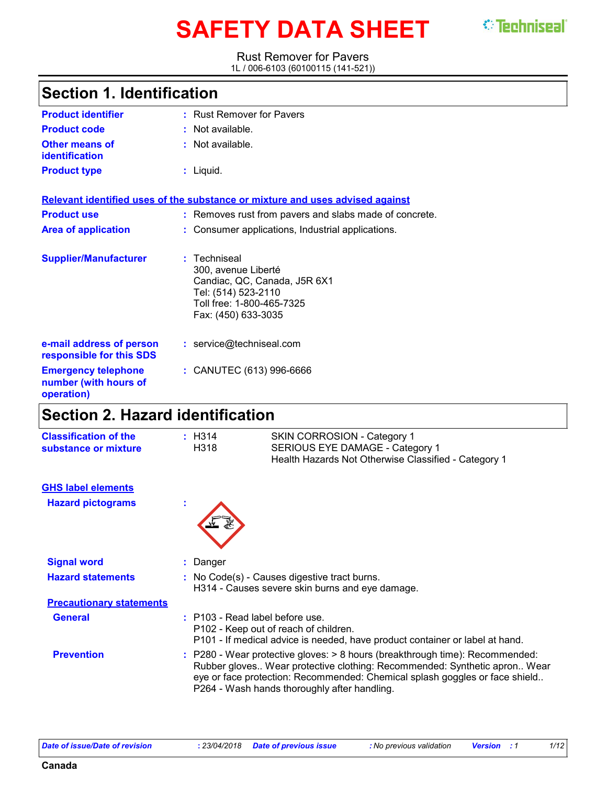# **SAFETY DATA SHEET**

*<u>\*\* Techniseal</u>* 

#### Rust Remover for Pavers 1L / 006-6103 (60100115 (141-521))

| <b>Section 1. Identification</b>                                  |                                                                                                                                                |  |
|-------------------------------------------------------------------|------------------------------------------------------------------------------------------------------------------------------------------------|--|
| <b>Product identifier</b>                                         | : Rust Remover for Pavers                                                                                                                      |  |
| <b>Product code</b>                                               | $:$ Not available.                                                                                                                             |  |
| <b>Other means of</b><br><b>identification</b>                    | : Not available.                                                                                                                               |  |
| <b>Product type</b>                                               | : Liquid.                                                                                                                                      |  |
|                                                                   | Relevant identified uses of the substance or mixture and uses advised against                                                                  |  |
| <b>Product use</b>                                                | : Removes rust from pavers and slabs made of concrete.                                                                                         |  |
| <b>Area of application</b>                                        | : Consumer applications, Industrial applications.                                                                                              |  |
| <b>Supplier/Manufacturer</b>                                      | : Techniseal<br>300, avenue Liberté<br>Candiac, QC, Canada, J5R 6X1<br>Tel: (514) 523-2110<br>Toll free: 1-800-465-7325<br>Fax: (450) 633-3035 |  |
| e-mail address of person<br>responsible for this SDS              | : service@techniseal.com                                                                                                                       |  |
| <b>Emergency telephone</b><br>number (with hours of<br>operation) | : CANUTEC (613) 996-6666                                                                                                                       |  |

## **Section 2. Hazard identification**

| <b>Classification of the</b><br>substance or mixture | : H314<br>H318                    | SKIN CORROSION - Category 1<br>SERIOUS EYE DAMAGE - Category 1<br>Health Hazards Not Otherwise Classified - Category 1                                                                                                                                                                       |
|------------------------------------------------------|-----------------------------------|----------------------------------------------------------------------------------------------------------------------------------------------------------------------------------------------------------------------------------------------------------------------------------------------|
| <b>GHS label elements</b>                            |                                   |                                                                                                                                                                                                                                                                                              |
| <b>Hazard pictograms</b>                             |                                   |                                                                                                                                                                                                                                                                                              |
| <b>Signal word</b>                                   | : Danger                          |                                                                                                                                                                                                                                                                                              |
| <b>Hazard statements</b>                             |                                   | : No Code(s) - Causes digestive tract burns.<br>H314 - Causes severe skin burns and eye damage.                                                                                                                                                                                              |
| <b>Precautionary statements</b>                      |                                   |                                                                                                                                                                                                                                                                                              |
| <b>General</b>                                       | $:$ P103 - Read label before use. | P102 - Keep out of reach of children.<br>P101 - If medical advice is needed, have product container or label at hand.                                                                                                                                                                        |
| <b>Prevention</b>                                    |                                   | $:$ P280 - Wear protective gloves: $> 8$ hours (breakthrough time): Recommended:<br>Rubber gloves Wear protective clothing: Recommended: Synthetic apron Wear<br>eye or face protection: Recommended: Chemical splash goggles or face shield<br>P264 - Wash hands thoroughly after handling. |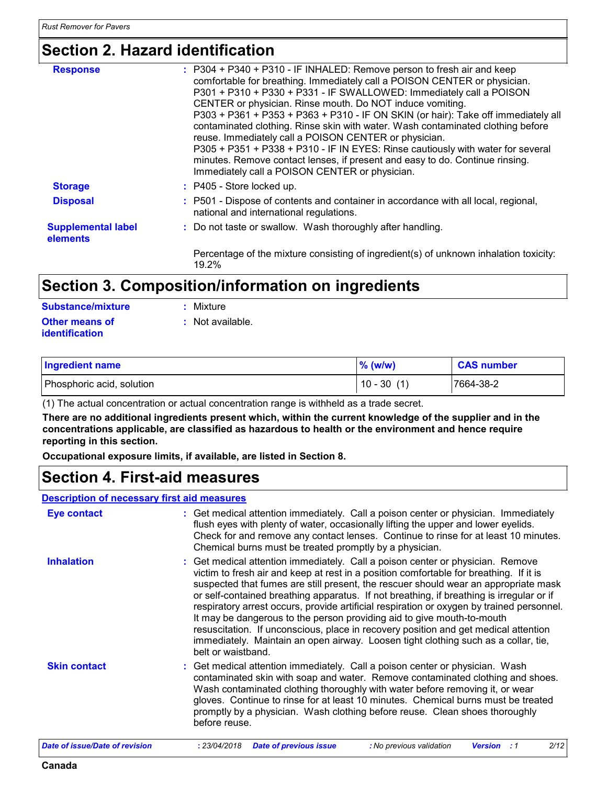## **Section 2. Hazard identification**

| <b>Response</b>                       | $:$ P304 + P340 + P310 - IF INHALED: Remove person to fresh air and keep<br>comfortable for breathing. Immediately call a POISON CENTER or physician.<br>P301 + P310 + P330 + P331 - IF SWALLOWED: Immediately call a POISON<br>CENTER or physician. Rinse mouth. Do NOT induce vomiting.<br>P303 + P361 + P353 + P363 + P310 - IF ON SKIN (or hair): Take off immediately all<br>contaminated clothing. Rinse skin with water. Wash contaminated clothing before<br>reuse. Immediately call a POISON CENTER or physician.<br>P305 + P351 + P338 + P310 - IF IN EYES: Rinse cautiously with water for several<br>minutes. Remove contact lenses, if present and easy to do. Continue rinsing.<br>Immediately call a POISON CENTER or physician. |
|---------------------------------------|-------------------------------------------------------------------------------------------------------------------------------------------------------------------------------------------------------------------------------------------------------------------------------------------------------------------------------------------------------------------------------------------------------------------------------------------------------------------------------------------------------------------------------------------------------------------------------------------------------------------------------------------------------------------------------------------------------------------------------------------------|
| <b>Storage</b>                        | : P405 - Store locked up.                                                                                                                                                                                                                                                                                                                                                                                                                                                                                                                                                                                                                                                                                                                       |
| <b>Disposal</b>                       | : P501 - Dispose of contents and container in accordance with all local, regional,<br>national and international regulations.                                                                                                                                                                                                                                                                                                                                                                                                                                                                                                                                                                                                                   |
| <b>Supplemental label</b><br>elements | : Do not taste or swallow. Wash thoroughly after handling.                                                                                                                                                                                                                                                                                                                                                                                                                                                                                                                                                                                                                                                                                      |
|                                       | Percentage of the mixture consisting of ingredient(s) of unknown inhalation toxicity:<br>$19.2\%$                                                                                                                                                                                                                                                                                                                                                                                                                                                                                                                                                                                                                                               |

## **Section 3. Composition/information on ingredients**

| <b>Substance/mixture</b> | : Mixture        |
|--------------------------|------------------|
| <b>Other means of</b>    | : Not available. |
| <b>identification</b>    |                  |

| <b>Ingredient name</b>    | $%$ (w/w)      | <b>CAS number</b> |
|---------------------------|----------------|-------------------|
| Phosphoric acid, solution | 10 - 30<br>(1) | 7664-38-2         |

(1) The actual concentration or actual concentration range is withheld as a trade secret.

**There are no additional ingredients present which, within the current knowledge of the supplier and in the concentrations applicable, are classified as hazardous to health or the environment and hence require reporting in this section.**

**Occupational exposure limits, if available, are listed in Section 8.**

## **Section 4. First-aid measures**

#### **Description of necessary first aid measures**

| Eye contact                    | : Get medical attention immediately. Call a poison center or physician. Immediately<br>flush eyes with plenty of water, occasionally lifting the upper and lower eyelids.<br>Check for and remove any contact lenses. Continue to rinse for at least 10 minutes.<br>Chemical burns must be treated promptly by a physician.                                                                                                                                                                                                                                                                                                                                                                                                           |
|--------------------------------|---------------------------------------------------------------------------------------------------------------------------------------------------------------------------------------------------------------------------------------------------------------------------------------------------------------------------------------------------------------------------------------------------------------------------------------------------------------------------------------------------------------------------------------------------------------------------------------------------------------------------------------------------------------------------------------------------------------------------------------|
| <b>Inhalation</b>              | : Get medical attention immediately. Call a poison center or physician. Remove<br>victim to fresh air and keep at rest in a position comfortable for breathing. If it is<br>suspected that fumes are still present, the rescuer should wear an appropriate mask<br>or self-contained breathing apparatus. If not breathing, if breathing is irregular or if<br>respiratory arrest occurs, provide artificial respiration or oxygen by trained personnel.<br>It may be dangerous to the person providing aid to give mouth-to-mouth<br>resuscitation. If unconscious, place in recovery position and get medical attention<br>immediately. Maintain an open airway. Loosen tight clothing such as a collar, tie,<br>belt or waistband. |
| <b>Skin contact</b>            | : Get medical attention immediately. Call a poison center or physician. Wash<br>contaminated skin with soap and water. Remove contaminated clothing and shoes.<br>Wash contaminated clothing thoroughly with water before removing it, or wear<br>gloves. Continue to rinse for at least 10 minutes. Chemical burns must be treated<br>promptly by a physician. Wash clothing before reuse. Clean shoes thoroughly<br>before reuse.                                                                                                                                                                                                                                                                                                   |
| Date of issue/Date of revision | <b>Date of previous issue</b><br>2/12<br>: 23/04/2018<br>: No previous validation<br><b>Version</b> : 1                                                                                                                                                                                                                                                                                                                                                                                                                                                                                                                                                                                                                               |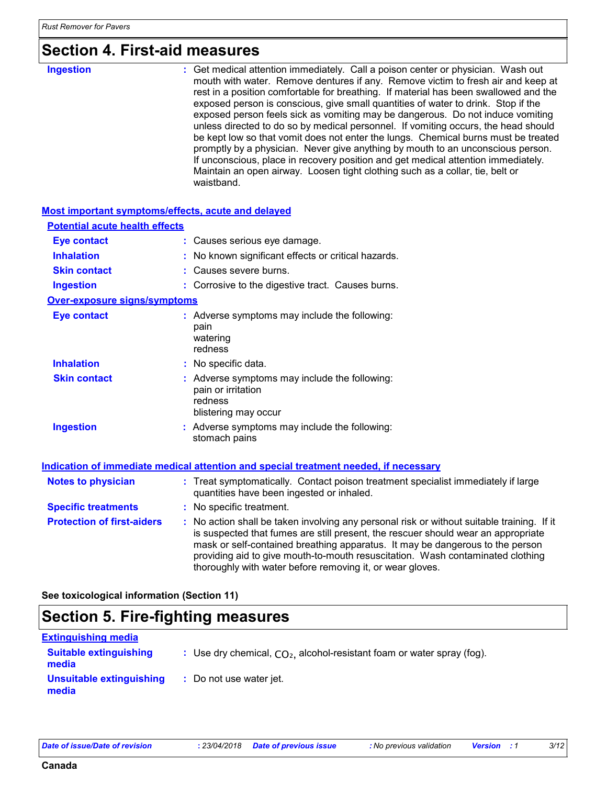## **Section 4. First-aid measures**

| <b>Ingestion</b> | : Get medical attention immediately. Call a poison center or physician. Wash out     |
|------------------|--------------------------------------------------------------------------------------|
|                  |                                                                                      |
|                  | mouth with water. Remove dentures if any. Remove victim to fresh air and keep at     |
|                  | rest in a position comfortable for breathing. If material has been swallowed and the |
|                  | exposed person is conscious, give small quantities of water to drink. Stop if the    |
|                  | exposed person feels sick as vomiting may be dangerous. Do not induce vomiting       |
|                  | unless directed to do so by medical personnel. If vomiting occurs, the head should   |
|                  | be kept low so that vomit does not enter the lungs. Chemical burns must be treated   |
|                  | promptly by a physician. Never give anything by mouth to an unconscious person.      |
|                  |                                                                                      |
|                  | If unconscious, place in recovery position and get medical attention immediately.    |
|                  | Maintain an open airway. Loosen tight clothing such as a collar, tie, belt or        |
|                  | waistband.                                                                           |

#### **Most important symptoms/effects, acute and delayed**

| <b>Potential acute health effects</b> |                                                                                                                                                                                                                                                                                                                                                                                                                 |
|---------------------------------------|-----------------------------------------------------------------------------------------------------------------------------------------------------------------------------------------------------------------------------------------------------------------------------------------------------------------------------------------------------------------------------------------------------------------|
| <b>Eye contact</b>                    | : Causes serious eye damage.                                                                                                                                                                                                                                                                                                                                                                                    |
| <b>Inhalation</b>                     | : No known significant effects or critical hazards.                                                                                                                                                                                                                                                                                                                                                             |
| <b>Skin contact</b>                   | : Causes severe burns.                                                                                                                                                                                                                                                                                                                                                                                          |
| <b>Ingestion</b>                      | : Corrosive to the digestive tract. Causes burns.                                                                                                                                                                                                                                                                                                                                                               |
| <b>Over-exposure signs/symptoms</b>   |                                                                                                                                                                                                                                                                                                                                                                                                                 |
| <b>Eye contact</b>                    | : Adverse symptoms may include the following:<br>pain<br>watering<br>redness                                                                                                                                                                                                                                                                                                                                    |
| <b>Inhalation</b>                     | : No specific data.                                                                                                                                                                                                                                                                                                                                                                                             |
| <b>Skin contact</b>                   | : Adverse symptoms may include the following:<br>pain or irritation<br>redness<br>blistering may occur                                                                                                                                                                                                                                                                                                          |
| <b>Ingestion</b>                      | : Adverse symptoms may include the following:<br>stomach pains                                                                                                                                                                                                                                                                                                                                                  |
|                                       | Indication of immediate medical attention and special treatment needed, if necessary                                                                                                                                                                                                                                                                                                                            |
| <b>Notes to physician</b>             | : Treat symptomatically. Contact poison treatment specialist immediately if large<br>quantities have been ingested or inhaled.                                                                                                                                                                                                                                                                                  |
| <b>Specific treatments</b>            | : No specific treatment.                                                                                                                                                                                                                                                                                                                                                                                        |
| <b>Protection of first-aiders</b>     | : No action shall be taken involving any personal risk or without suitable training. If it<br>is suspected that fumes are still present, the rescuer should wear an appropriate<br>mask or self-contained breathing apparatus. It may be dangerous to the person<br>providing aid to give mouth-to-mouth resuscitation. Wash contaminated clothing<br>thoroughly with water before removing it, or wear gloves. |

**See toxicological information (Section 11)**

## **Section 5. Fire-fighting measures**

| <b>Extinguishing media</b>             |                                                                          |
|----------------------------------------|--------------------------------------------------------------------------|
| <b>Suitable extinguishing</b><br>media | : Use dry chemical, $CO2$ , alcohol-resistant foam or water spray (fog). |
| Unsuitable extinguishing<br>media      | : Do not use water jet.                                                  |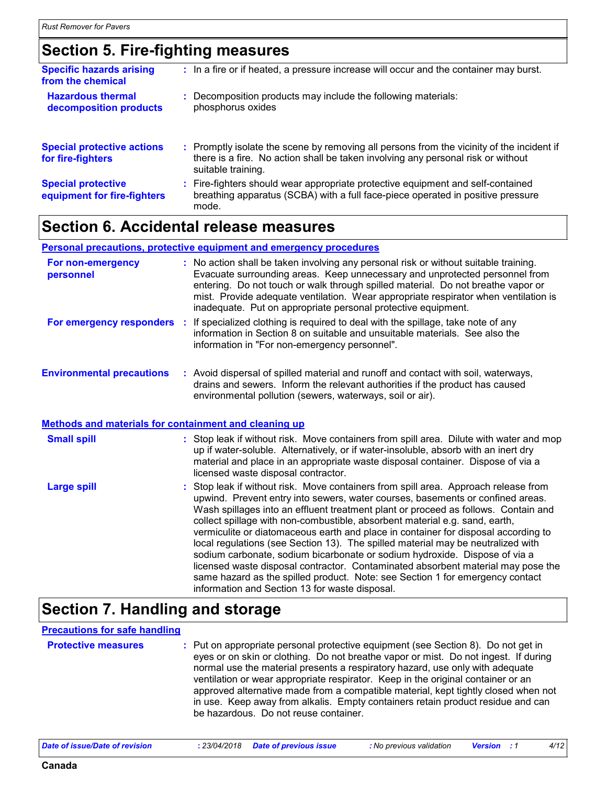## **Section 5. Fire-fighting measures**

| <b>Specific hazards arising</b><br>from the chemical     | : In a fire or if heated, a pressure increase will occur and the container may burst.                                                                                                               |
|----------------------------------------------------------|-----------------------------------------------------------------------------------------------------------------------------------------------------------------------------------------------------|
| <b>Hazardous thermal</b><br>decomposition products       | : Decomposition products may include the following materials:<br>phosphorus oxides                                                                                                                  |
| <b>Special protective actions</b><br>for fire-fighters   | : Promptly isolate the scene by removing all persons from the vicinity of the incident if<br>there is a fire. No action shall be taken involving any personal risk or without<br>suitable training. |
| <b>Special protective</b><br>equipment for fire-fighters | : Fire-fighters should wear appropriate protective equipment and self-contained<br>breathing apparatus (SCBA) with a full face-piece operated in positive pressure<br>mode.                         |

## **Section 6. Accidental release measures**

|                                                              | <b>Personal precautions, protective equipment and emergency procedures</b>                                                                                                                                                                                                                                                                                                                                                                                                                                                                                                                                                                                                                                                                                                                                                |
|--------------------------------------------------------------|---------------------------------------------------------------------------------------------------------------------------------------------------------------------------------------------------------------------------------------------------------------------------------------------------------------------------------------------------------------------------------------------------------------------------------------------------------------------------------------------------------------------------------------------------------------------------------------------------------------------------------------------------------------------------------------------------------------------------------------------------------------------------------------------------------------------------|
| For non-emergency<br>personnel                               | : No action shall be taken involving any personal risk or without suitable training.<br>Evacuate surrounding areas. Keep unnecessary and unprotected personnel from<br>entering. Do not touch or walk through spilled material. Do not breathe vapor or<br>mist. Provide adequate ventilation. Wear appropriate respirator when ventilation is<br>inadequate. Put on appropriate personal protective equipment.                                                                                                                                                                                                                                                                                                                                                                                                           |
| For emergency responders                                     | If specialized clothing is required to deal with the spillage, take note of any<br>information in Section 8 on suitable and unsuitable materials. See also the<br>information in "For non-emergency personnel".                                                                                                                                                                                                                                                                                                                                                                                                                                                                                                                                                                                                           |
| <b>Environmental precautions</b>                             | : Avoid dispersal of spilled material and runoff and contact with soil, waterways,<br>drains and sewers. Inform the relevant authorities if the product has caused<br>environmental pollution (sewers, waterways, soil or air).                                                                                                                                                                                                                                                                                                                                                                                                                                                                                                                                                                                           |
| <b>Methods and materials for containment and cleaning up</b> |                                                                                                                                                                                                                                                                                                                                                                                                                                                                                                                                                                                                                                                                                                                                                                                                                           |
| <b>Small spill</b>                                           | : Stop leak if without risk. Move containers from spill area. Dilute with water and mop<br>up if water-soluble. Alternatively, or if water-insoluble, absorb with an inert dry<br>material and place in an appropriate waste disposal container. Dispose of via a<br>licensed waste disposal contractor.                                                                                                                                                                                                                                                                                                                                                                                                                                                                                                                  |
| <b>Large spill</b>                                           | : Stop leak if without risk. Move containers from spill area. Approach release from<br>upwind. Prevent entry into sewers, water courses, basements or confined areas.<br>Wash spillages into an effluent treatment plant or proceed as follows. Contain and<br>collect spillage with non-combustible, absorbent material e.g. sand, earth,<br>vermiculite or diatomaceous earth and place in container for disposal according to<br>local regulations (see Section 13). The spilled material may be neutralized with<br>sodium carbonate, sodium bicarbonate or sodium hydroxide. Dispose of via a<br>licensed waste disposal contractor. Contaminated absorbent material may pose the<br>same hazard as the spilled product. Note: see Section 1 for emergency contact<br>information and Section 13 for waste disposal. |

## **Section 7. Handling and storage**

#### **Precautions for safe handling**

| <b>Protective measures</b> | : Put on appropriate personal protective equipment (see Section 8). Do not get in<br>eyes or on skin or clothing. Do not breathe vapor or mist. Do not ingest. If during<br>normal use the material presents a respiratory hazard, use only with adequate<br>ventilation or wear appropriate respirator. Keep in the original container or an<br>approved alternative made from a compatible material, kept tightly closed when not<br>in use. Keep away from alkalis. Empty containers retain product residue and can<br>be hazardous. Do not reuse container. |
|----------------------------|-----------------------------------------------------------------------------------------------------------------------------------------------------------------------------------------------------------------------------------------------------------------------------------------------------------------------------------------------------------------------------------------------------------------------------------------------------------------------------------------------------------------------------------------------------------------|
|                            |                                                                                                                                                                                                                                                                                                                                                                                                                                                                                                                                                                 |

| Date of issue/Date of revision |  |
|--------------------------------|--|
|                                |  |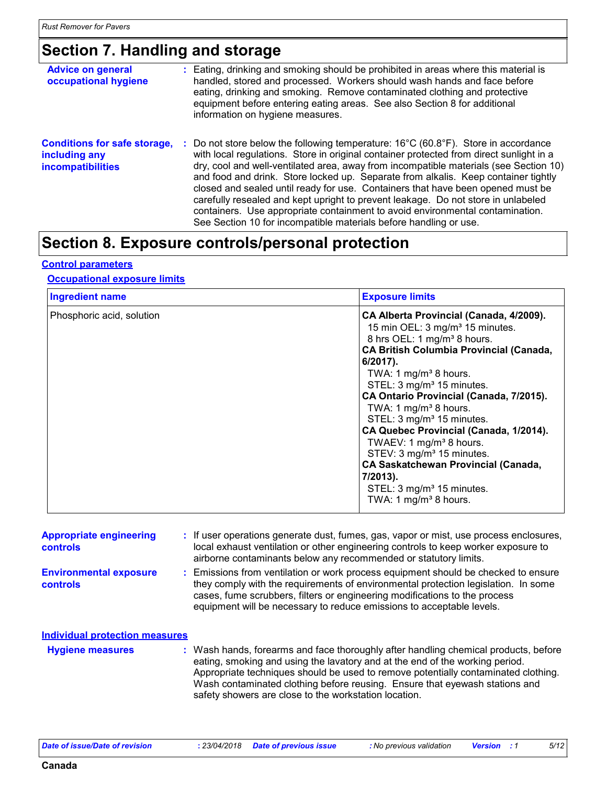## **Section 7. Handling and storage**

| <b>Advice on general</b><br>occupational hygiene                                 | : Eating, drinking and smoking should be prohibited in areas where this material is<br>handled, stored and processed. Workers should wash hands and face before<br>eating, drinking and smoking. Remove contaminated clothing and protective<br>equipment before entering eating areas. See also Section 8 for additional<br>information on hygiene measures.                                                                                                                                                                                                                                                                                                                                              |
|----------------------------------------------------------------------------------|------------------------------------------------------------------------------------------------------------------------------------------------------------------------------------------------------------------------------------------------------------------------------------------------------------------------------------------------------------------------------------------------------------------------------------------------------------------------------------------------------------------------------------------------------------------------------------------------------------------------------------------------------------------------------------------------------------|
| <b>Conditions for safe storage,</b><br>including any<br><b>incompatibilities</b> | : Do not store below the following temperature: $16^{\circ}C(60.8^{\circ}F)$ . Store in accordance<br>with local regulations. Store in original container protected from direct sunlight in a<br>dry, cool and well-ventilated area, away from incompatible materials (see Section 10)<br>and food and drink. Store locked up. Separate from alkalis. Keep container tightly<br>closed and sealed until ready for use. Containers that have been opened must be<br>carefully resealed and kept upright to prevent leakage. Do not store in unlabeled<br>containers. Use appropriate containment to avoid environmental contamination.<br>See Section 10 for incompatible materials before handling or use. |

### **Section 8. Exposure controls/personal protection**

#### **Control parameters**

#### **Occupational exposure limits**

| <b>Ingredient name</b>    | <b>Exposure limits</b>                                                                                                                                                                                                                                                                                                                                                                                                                                                                                                                                                                                                                                            |
|---------------------------|-------------------------------------------------------------------------------------------------------------------------------------------------------------------------------------------------------------------------------------------------------------------------------------------------------------------------------------------------------------------------------------------------------------------------------------------------------------------------------------------------------------------------------------------------------------------------------------------------------------------------------------------------------------------|
| Phosphoric acid, solution | CA Alberta Provincial (Canada, 4/2009).<br>15 min OEL: 3 mg/m <sup>3</sup> 15 minutes.<br>8 hrs OEL: 1 mg/m <sup>3</sup> 8 hours.<br><b>CA British Columbia Provincial (Canada,</b><br>$6/2017$ ).<br>TWA: 1 mg/m <sup>3</sup> 8 hours.<br>STEL: 3 mg/m <sup>3</sup> 15 minutes.<br>CA Ontario Provincial (Canada, 7/2015).<br>TWA: 1 mg/m <sup>3</sup> 8 hours.<br>STEL: 3 mg/m <sup>3</sup> 15 minutes.<br>CA Quebec Provincial (Canada, 1/2014).<br>TWAEV: 1 mg/m <sup>3</sup> 8 hours.<br>STEV: 3 mg/m <sup>3</sup> 15 minutes.<br><b>CA Saskatchewan Provincial (Canada,</b><br>7/2013).<br>STEL: 3 mg/m <sup>3</sup> 15 minutes.<br>TWA: 1 $mg/m3$ 8 hours. |

| <b>Appropriate engineering</b><br><b>controls</b> | : If user operations generate dust, fumes, gas, vapor or mist, use process enclosures,<br>local exhaust ventilation or other engineering controls to keep worker exposure to<br>airborne contaminants below any recommended or statutory limits.                                                                                |
|---------------------------------------------------|---------------------------------------------------------------------------------------------------------------------------------------------------------------------------------------------------------------------------------------------------------------------------------------------------------------------------------|
| <b>Environmental exposure</b><br><b>controls</b>  | : Emissions from ventilation or work process equipment should be checked to ensure<br>they comply with the requirements of environmental protection legislation. In some<br>cases, fume scrubbers, filters or engineering modifications to the process<br>equipment will be necessary to reduce emissions to acceptable levels. |
| <b>Individual protection measures</b>             |                                                                                                                                                                                                                                                                                                                                 |
| <b>Hygiene measures</b>                           | : Wash hands, forearms and face thoroughly after handling chemical products, before<br>eating, smoking and using the lavatory and at the end of the working period.                                                                                                                                                             |

eating, smoking and using the lavatory and at the end of the working period. Appropriate techniques should be used to remove potentially contaminated clothing. Wash contaminated clothing before reusing. Ensure that eyewash stations and safety showers are close to the workstation location.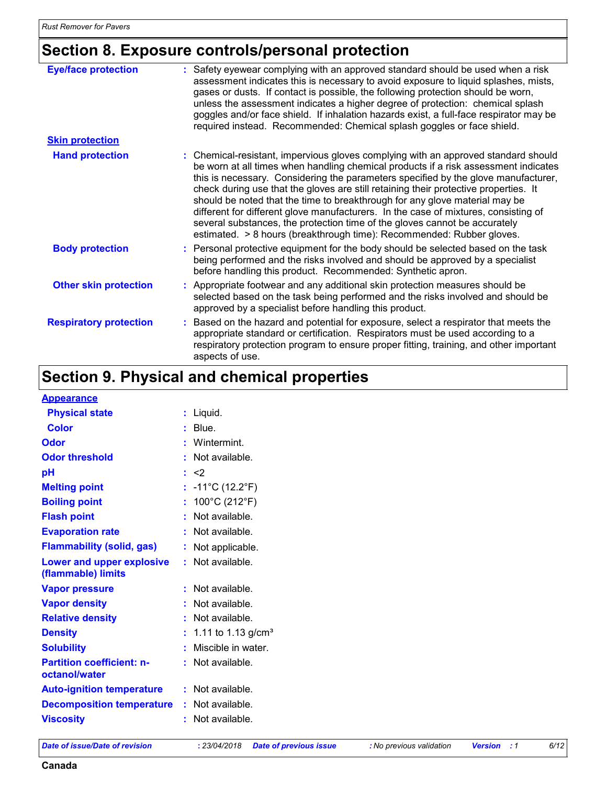## **Section 8. Exposure controls/personal protection**

| <b>Eye/face protection</b>    | : Safety eyewear complying with an approved standard should be used when a risk<br>assessment indicates this is necessary to avoid exposure to liquid splashes, mists,<br>gases or dusts. If contact is possible, the following protection should be worn,<br>unless the assessment indicates a higher degree of protection: chemical splash<br>goggles and/or face shield. If inhalation hazards exist, a full-face respirator may be<br>required instead. Recommended: Chemical splash goggles or face shield.                                                                                                                                                                     |
|-------------------------------|--------------------------------------------------------------------------------------------------------------------------------------------------------------------------------------------------------------------------------------------------------------------------------------------------------------------------------------------------------------------------------------------------------------------------------------------------------------------------------------------------------------------------------------------------------------------------------------------------------------------------------------------------------------------------------------|
| <b>Skin protection</b>        |                                                                                                                                                                                                                                                                                                                                                                                                                                                                                                                                                                                                                                                                                      |
| <b>Hand protection</b>        | : Chemical-resistant, impervious gloves complying with an approved standard should<br>be worn at all times when handling chemical products if a risk assessment indicates<br>this is necessary. Considering the parameters specified by the glove manufacturer,<br>check during use that the gloves are still retaining their protective properties. It<br>should be noted that the time to breakthrough for any glove material may be<br>different for different glove manufacturers. In the case of mixtures, consisting of<br>several substances, the protection time of the gloves cannot be accurately<br>estimated. > 8 hours (breakthrough time): Recommended: Rubber gloves. |
| <b>Body protection</b>        | : Personal protective equipment for the body should be selected based on the task<br>being performed and the risks involved and should be approved by a specialist<br>before handling this product. Recommended: Synthetic apron.                                                                                                                                                                                                                                                                                                                                                                                                                                                    |
| <b>Other skin protection</b>  | : Appropriate footwear and any additional skin protection measures should be<br>selected based on the task being performed and the risks involved and should be<br>approved by a specialist before handling this product.                                                                                                                                                                                                                                                                                                                                                                                                                                                            |
| <b>Respiratory protection</b> | Based on the hazard and potential for exposure, select a respirator that meets the<br>appropriate standard or certification. Respirators must be used according to a<br>respiratory protection program to ensure proper fitting, training, and other important<br>aspects of use.                                                                                                                                                                                                                                                                                                                                                                                                    |

## **Section 9. Physical and chemical properties**

| <b>Appearance</b>                                      |                                       |
|--------------------------------------------------------|---------------------------------------|
| <b>Physical state</b>                                  | $:$ Liquid.                           |
| <b>Color</b>                                           | $:$ Blue.                             |
| Odor                                                   | : Wintermint.                         |
| <b>Odor threshold</b>                                  | : Not available.                      |
| pH                                                     | : < 2                                 |
| <b>Melting point</b>                                   | : $-11^{\circ}$ C (12.2 $^{\circ}$ F) |
| <b>Boiling point</b>                                   | : $100^{\circ}$ C (212 $^{\circ}$ F)  |
| <b>Flash point</b>                                     | : Not available.                      |
| <b>Evaporation rate</b>                                | : Not available.                      |
| <b>Flammability (solid, gas)</b>                       | : Not applicable.                     |
| <b>Lower and upper explosive</b><br>(flammable) limits | : Not available.                      |
| <b>Vapor pressure</b>                                  | : Not available.                      |
| <b>Vapor density</b>                                   | Not available.                        |
| <b>Relative density</b>                                | : Not available.                      |
| <b>Density</b>                                         | $: 1.11$ to 1.13 g/cm <sup>3</sup>    |
| <b>Solubility</b>                                      | Miscible in water.                    |
| <b>Partition coefficient: n-</b><br>octanol/water      | $:$ Not available.                    |
| <b>Auto-ignition temperature</b>                       | : Not available.                      |
| <b>Decomposition temperature</b>                       | : Not available.                      |
| <b>Viscosity</b>                                       | : Not available.                      |
|                                                        |                                       |

*Date of issue/Date of revision* **:** *23/04/2018 Date of previous issue : No previous validation Version : 1 6/12*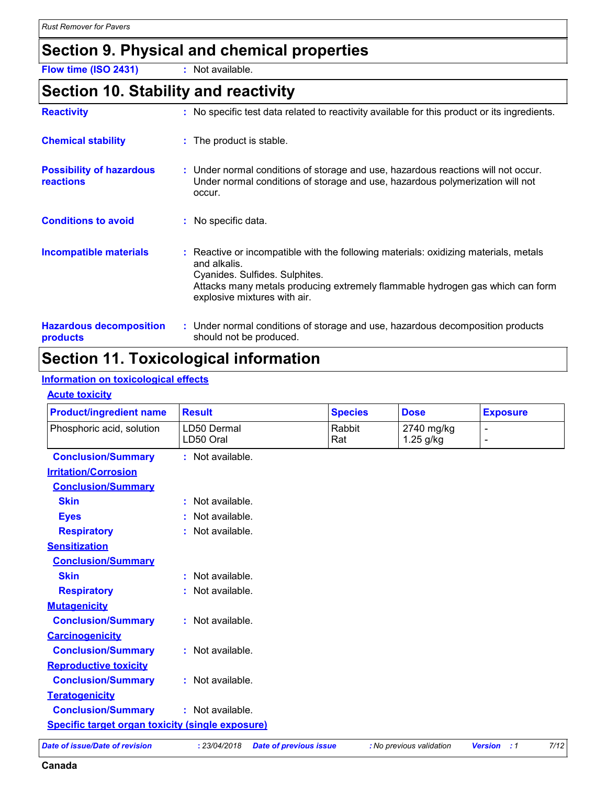## **Section 9. Physical and chemical properties**

**Flow time (ISO 2431) :** Not available.

## **Section 10. Stability and reactivity**

| <b>Reactivity</b>                            | : No specific test data related to reactivity available for this product or its ingredients.                                                                                                                                                            |
|----------------------------------------------|---------------------------------------------------------------------------------------------------------------------------------------------------------------------------------------------------------------------------------------------------------|
| <b>Chemical stability</b>                    | : The product is stable.                                                                                                                                                                                                                                |
| <b>Possibility of hazardous</b><br>reactions | : Under normal conditions of storage and use, hazardous reactions will not occur.<br>Under normal conditions of storage and use, hazardous polymerization will not<br>occur.                                                                            |
| <b>Conditions to avoid</b>                   | : No specific data.                                                                                                                                                                                                                                     |
| <b>Incompatible materials</b>                | : Reactive or incompatible with the following materials: oxidizing materials, metals<br>and alkalis.<br>Cyanides. Sulfides. Sulphites.<br>Attacks many metals producing extremely flammable hydrogen gas which can form<br>explosive mixtures with air. |
| <b>Hazardous decomposition</b><br>products   | : Under normal conditions of storage and use, hazardous decomposition products<br>should not be produced.                                                                                                                                               |

## **Section 11. Toxicological information**

#### **Information on toxicological effects**

#### **Acute toxicity**

| <b>Product/ingredient name</b>                          | <b>Result</b>            | <b>Species</b> | <b>Dose</b>               | <b>Exposure</b>                            |
|---------------------------------------------------------|--------------------------|----------------|---------------------------|--------------------------------------------|
| Phosphoric acid, solution                               | LD50 Dermal<br>LD50 Oral | Rabbit<br>Rat  | 2740 mg/kg<br>$1.25$ g/kg | $\overline{\phantom{0}}$<br>$\blacksquare$ |
| <b>Conclusion/Summary</b>                               | : Not available.         |                |                           |                                            |
| <b>Irritation/Corrosion</b>                             |                          |                |                           |                                            |
| <b>Conclusion/Summary</b>                               |                          |                |                           |                                            |
| <b>Skin</b>                                             | : Not available.         |                |                           |                                            |
| <b>Eyes</b>                                             | : Not available.         |                |                           |                                            |
| <b>Respiratory</b>                                      | : Not available.         |                |                           |                                            |
| <b>Sensitization</b>                                    |                          |                |                           |                                            |
| <b>Conclusion/Summary</b>                               |                          |                |                           |                                            |
| <b>Skin</b>                                             | : Not available.         |                |                           |                                            |
| <b>Respiratory</b>                                      | : Not available.         |                |                           |                                            |
| <b>Mutagenicity</b>                                     |                          |                |                           |                                            |
| <b>Conclusion/Summary</b>                               | : Not available.         |                |                           |                                            |
| <b>Carcinogenicity</b>                                  |                          |                |                           |                                            |
| <b>Conclusion/Summary</b>                               | : Not available.         |                |                           |                                            |
| <b>Reproductive toxicity</b>                            |                          |                |                           |                                            |
| <b>Conclusion/Summary</b>                               | : Not available.         |                |                           |                                            |
| <b>Teratogenicity</b>                                   |                          |                |                           |                                            |
| <b>Conclusion/Summary</b>                               | : Not available.         |                |                           |                                            |
| <b>Specific target organ toxicity (single exposure)</b> |                          |                |                           |                                            |

**Canada**

*Date of issue/Date of revision* **:** *23/04/2018 Date of previous issue : No previous validation Version : 1 7/12*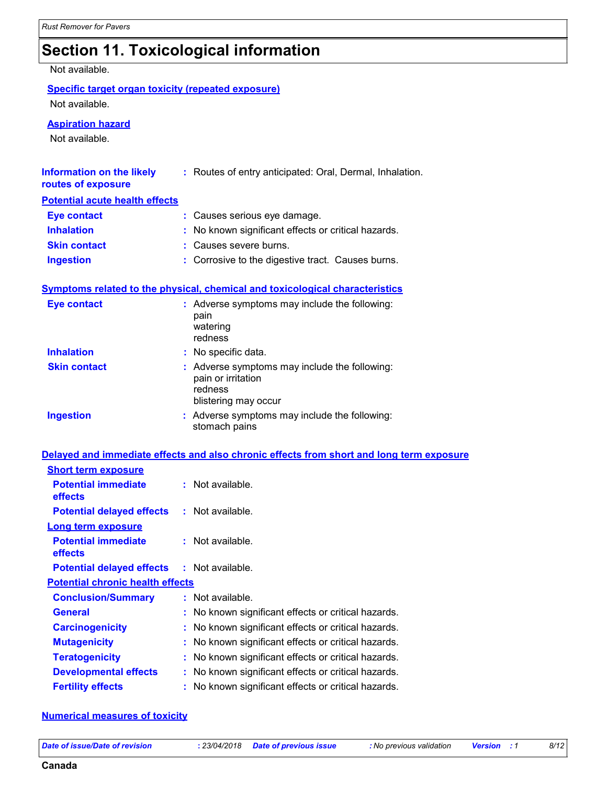## **Section 11. Toxicological information**

Not available.

#### **Specific target organ toxicity (repeated exposure)**

Not available.

#### **Aspiration hazard**

Not available.

| Information on the likely<br>routes of exposure | : Routes of entry anticipated: Oral, Dermal, Inhalation. |
|-------------------------------------------------|----------------------------------------------------------|
| <b>Potential acute health effects</b>           |                                                          |
| Eye contact                                     | : Causes serious eye damage.                             |
| <b>Inhalation</b>                               | : No known significant effects or critical hazards.      |
| <b>Skin contact</b>                             | : Causes severe burns.                                   |

**Ingestion :** Corrosive to the digestive tract. Causes burns.

#### **Symptoms related to the physical, chemical and toxicological characteristics**

| <b>Eye contact</b>  | : Adverse symptoms may include the following:<br>pain<br>watering<br>redness                           |
|---------------------|--------------------------------------------------------------------------------------------------------|
| <b>Inhalation</b>   | : No specific data.                                                                                    |
| <b>Skin contact</b> | : Adverse symptoms may include the following:<br>pain or irritation<br>redness<br>blistering may occur |
| <b>Ingestion</b>    | : Adverse symptoms may include the following:<br>stomach pains                                         |

#### **Delayed and immediate effects and also chronic effects from short and long term exposure**

| <b>Short term exposure</b>              |                                                     |
|-----------------------------------------|-----------------------------------------------------|
| <b>Potential immediate</b><br>effects   | $:$ Not available.                                  |
| <b>Potential delayed effects</b>        | $:$ Not available.                                  |
| <b>Long term exposure</b>               |                                                     |
| <b>Potential immediate</b><br>effects   | $:$ Not available.                                  |
| <b>Potential delayed effects</b>        | $:$ Not available.                                  |
| <b>Potential chronic health effects</b> |                                                     |
| <b>Conclusion/Summary</b>               | : Not available.                                    |
| General                                 | : No known significant effects or critical hazards. |
| <b>Carcinogenicity</b>                  | : No known significant effects or critical hazards. |
| <b>Mutagenicity</b>                     | : No known significant effects or critical hazards. |
| <b>Teratogenicity</b>                   | : No known significant effects or critical hazards. |
| <b>Developmental effects</b>            | : No known significant effects or critical hazards. |
| <b>Fertility effects</b>                | : No known significant effects or critical hazards. |

#### **Numerical measures of toxicity**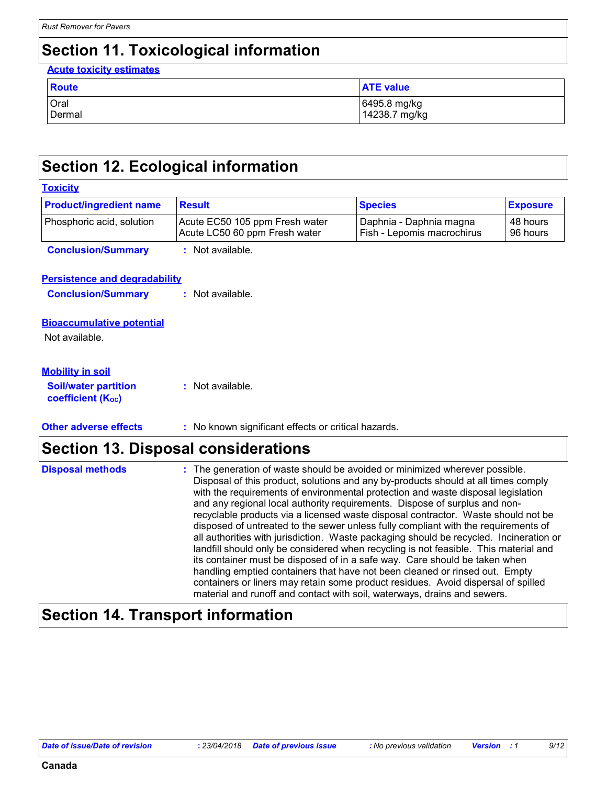## **Section 11. Toxicological information**

**Acute toxicity estimates**

| Route  | <b>ATE</b> value |
|--------|------------------|
| Oral   | 6495.8 mg/kg     |
| Dermal | 14238.7 mg/kg    |

## **Section 12. Ecological information**

| <u>Toxicity</u>                                         |                                                                                                                                                                                                                                                                                                                                                                                                                          |                                                       |                      |
|---------------------------------------------------------|--------------------------------------------------------------------------------------------------------------------------------------------------------------------------------------------------------------------------------------------------------------------------------------------------------------------------------------------------------------------------------------------------------------------------|-------------------------------------------------------|----------------------|
| <b>Product/ingredient name</b>                          | <b>Result</b>                                                                                                                                                                                                                                                                                                                                                                                                            | <b>Species</b>                                        | <b>Exposure</b>      |
| Phosphoric acid, solution                               | Acute EC50 105 ppm Fresh water<br>Acute LC50 60 ppm Fresh water                                                                                                                                                                                                                                                                                                                                                          | Daphnia - Daphnia magna<br>Fish - Lepomis macrochirus | 48 hours<br>96 hours |
| <b>Conclusion/Summary</b>                               | : Not available.                                                                                                                                                                                                                                                                                                                                                                                                         |                                                       |                      |
| <b>Persistence and degradability</b>                    |                                                                                                                                                                                                                                                                                                                                                                                                                          |                                                       |                      |
| <b>Conclusion/Summary</b>                               | : Not available.                                                                                                                                                                                                                                                                                                                                                                                                         |                                                       |                      |
| <b>Bioaccumulative potential</b>                        |                                                                                                                                                                                                                                                                                                                                                                                                                          |                                                       |                      |
| Not available.                                          |                                                                                                                                                                                                                                                                                                                                                                                                                          |                                                       |                      |
| <b>Mobility in soil</b>                                 |                                                                                                                                                                                                                                                                                                                                                                                                                          |                                                       |                      |
| <b>Soil/water partition</b><br><b>coefficient (Koc)</b> | : Not available.                                                                                                                                                                                                                                                                                                                                                                                                         |                                                       |                      |
| <b>Other adverse effects</b>                            | : No known significant effects or critical hazards.                                                                                                                                                                                                                                                                                                                                                                      |                                                       |                      |
|                                                         | <b>Section 13. Disposal considerations</b>                                                                                                                                                                                                                                                                                                                                                                               |                                                       |                      |
| <b>Disposal methods</b>                                 | : The generation of waste should be avoided or minimized wherever possible.<br>Disposal of this product, solutions and any by-products should at all times comply<br>with the requirements of environmental protection and waste disposal legislation<br>and any regional local authority requirements. Dispose of surplus and non-<br>recyclable products via a licensed waste disposal contractor. Waste should not be |                                                       |                      |

disposed of untreated to the sewer unless fully compliant with the requirements of all authorities with jurisdiction. Waste packaging should be recycled. Incineration or landfill should only be considered when recycling is not feasible. This material and its container must be disposed of in a safe way. Care should be taken when handling emptied containers that have not been cleaned or rinsed out. Empty containers or liners may retain some product residues. Avoid dispersal of spilled

#### material and runoff and contact with soil, waterways, drains and sewers. **Section 14. Transport information**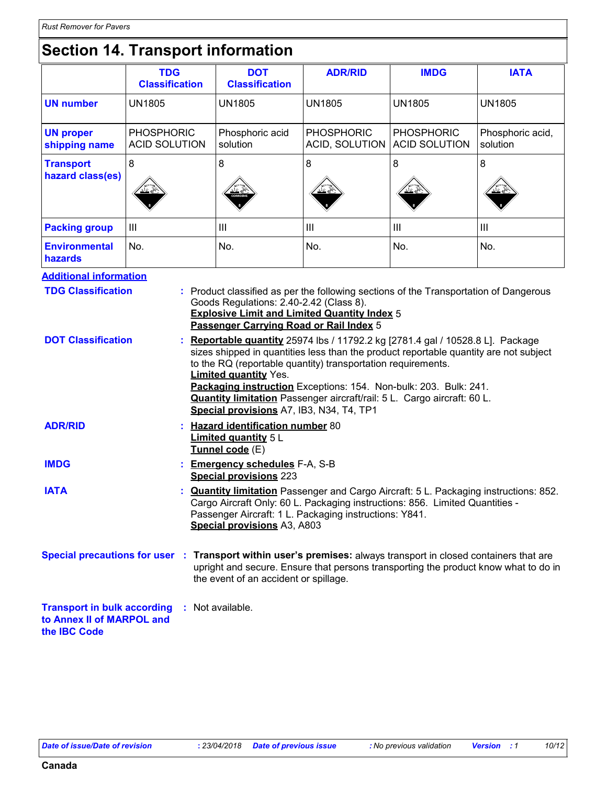| <b>Section 14. Transport information</b>                                        |                                           |                                                                                                                                                                                                                                                                     |                                                                                                                                                                                                                                                                                                      |                                           |                              |  |
|---------------------------------------------------------------------------------|-------------------------------------------|---------------------------------------------------------------------------------------------------------------------------------------------------------------------------------------------------------------------------------------------------------------------|------------------------------------------------------------------------------------------------------------------------------------------------------------------------------------------------------------------------------------------------------------------------------------------------------|-------------------------------------------|------------------------------|--|
|                                                                                 | <b>TDG</b><br><b>Classification</b>       | <b>DOT</b><br><b>Classification</b>                                                                                                                                                                                                                                 | <b>ADR/RID</b>                                                                                                                                                                                                                                                                                       | <b>IMDG</b>                               | <b>IATA</b>                  |  |
| <b>UN number</b>                                                                | <b>UN1805</b>                             | <b>UN1805</b>                                                                                                                                                                                                                                                       | <b>UN1805</b>                                                                                                                                                                                                                                                                                        | <b>UN1805</b>                             | <b>UN1805</b>                |  |
| <b>UN proper</b><br>shipping name                                               | <b>PHOSPHORIC</b><br><b>ACID SOLUTION</b> | Phosphoric acid<br>solution                                                                                                                                                                                                                                         | <b>PHOSPHORIC</b><br>ACID, SOLUTION                                                                                                                                                                                                                                                                  | <b>PHOSPHORIC</b><br><b>ACID SOLUTION</b> | Phosphoric acid,<br>solution |  |
| <b>Transport</b><br>hazard class(es)                                            | 8                                         | 8                                                                                                                                                                                                                                                                   | 8                                                                                                                                                                                                                                                                                                    | 8                                         | 8                            |  |
| <b>Packing group</b>                                                            | III                                       | III                                                                                                                                                                                                                                                                 | III                                                                                                                                                                                                                                                                                                  | $\mathbf{III}$                            | $\mathbf{III}$               |  |
| <b>Environmental</b><br>hazards                                                 | No.                                       | No.                                                                                                                                                                                                                                                                 | No.                                                                                                                                                                                                                                                                                                  | No.                                       | No.                          |  |
| <b>Additional information</b>                                                   |                                           |                                                                                                                                                                                                                                                                     |                                                                                                                                                                                                                                                                                                      |                                           |                              |  |
| <b>ADR/RID</b>                                                                  |                                           | <b>Limited quantity Yes.</b><br>Special provisions A7, IB3, N34, T4, TP1<br>Hazard identification number 80                                                                                                                                                         | sizes shipped in quantities less than the product reportable quantity are not subject<br>to the RQ (reportable quantity) transportation requirements.<br>Packaging instruction Exceptions: 154. Non-bulk: 203. Bulk: 241.<br>Quantity limitation Passenger aircraft/rail: 5 L. Cargo aircraft: 60 L. |                                           |                              |  |
|                                                                                 |                                           | <b>Limited quantity 5 L</b><br>Tunnel code (E)                                                                                                                                                                                                                      |                                                                                                                                                                                                                                                                                                      |                                           |                              |  |
| <b>IMDG</b>                                                                     |                                           | <b>Emergency schedules F-A, S-B</b><br><b>Special provisions 223</b>                                                                                                                                                                                                |                                                                                                                                                                                                                                                                                                      |                                           |                              |  |
| <b>IATA</b>                                                                     |                                           | <b>Quantity limitation</b> Passenger and Cargo Aircraft: 5 L. Packaging instructions: 852.<br>Cargo Aircraft Only: 60 L. Packaging instructions: 856. Limited Quantities -<br>Passenger Aircraft: 1 L. Packaging instructions: Y841.<br>Special provisions A3, A803 |                                                                                                                                                                                                                                                                                                      |                                           |                              |  |
|                                                                                 |                                           | the event of an accident or spillage.                                                                                                                                                                                                                               | Special precautions for user : Transport within user's premises: always transport in closed containers that are<br>upright and secure. Ensure that persons transporting the product know what to do in                                                                                               |                                           |                              |  |
| <b>Transport in bulk according</b><br>to Annex II of MARPOL and<br>the IBC Code |                                           | : Not available.                                                                                                                                                                                                                                                    |                                                                                                                                                                                                                                                                                                      |                                           |                              |  |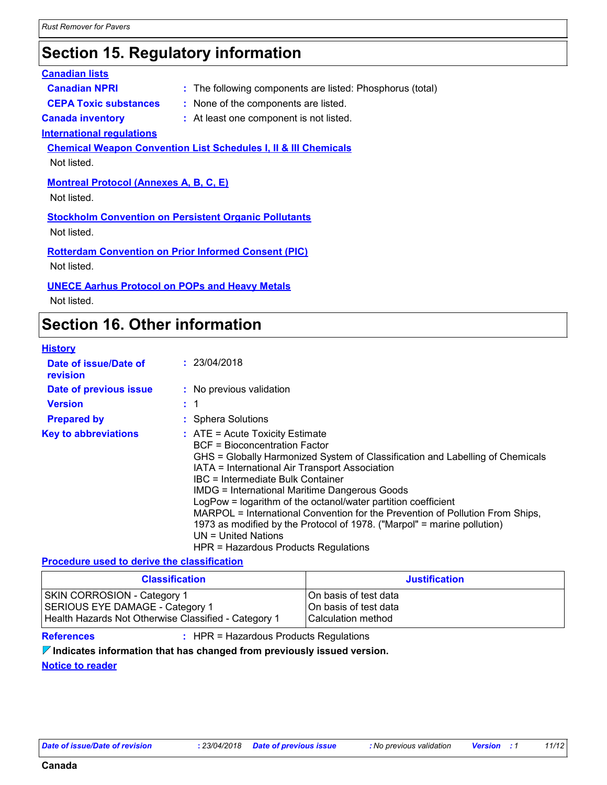## **Section 15. Regulatory information**

#### **Canadian lists**

**Canadian NPRI :** The following components are listed: Phosphorus (total)

- **CEPA Toxic substances :** None of the components are listed.
- 
- 
- **Canada inventory :** At least one component is not listed.

**International regulations**

**Chemical Weapon Convention List Schedules I, II & III Chemicals**

Not listed.

#### **Montreal Protocol (Annexes A, B, C, E)**

Not listed.

#### **Stockholm Convention on Persistent Organic Pollutants**

Not listed.

**Rotterdam Convention on Prior Informed Consent (PIC)** Not listed.

#### **UNECE Aarhus Protocol on POPs and Heavy Metals**

Not listed.

## **Section 16. Other information**

#### **History**

| Date of issue/Date of<br>revision | : 23/04/2018                                                                                                                                                                                                                                                                                                                                                                                                                                                                                                                                                                                       |
|-----------------------------------|----------------------------------------------------------------------------------------------------------------------------------------------------------------------------------------------------------------------------------------------------------------------------------------------------------------------------------------------------------------------------------------------------------------------------------------------------------------------------------------------------------------------------------------------------------------------------------------------------|
| Date of previous issue            | : No previous validation                                                                                                                                                                                                                                                                                                                                                                                                                                                                                                                                                                           |
| <b>Version</b>                    |                                                                                                                                                                                                                                                                                                                                                                                                                                                                                                                                                                                                    |
| <b>Prepared by</b>                | : Sphera Solutions                                                                                                                                                                                                                                                                                                                                                                                                                                                                                                                                                                                 |
| <b>Key to abbreviations</b>       | $\therefore$ ATE = Acute Toxicity Estimate<br>BCF = Bioconcentration Factor<br>GHS = Globally Harmonized System of Classification and Labelling of Chemicals<br>IATA = International Air Transport Association<br>IBC = Intermediate Bulk Container<br>IMDG = International Maritime Dangerous Goods<br>LogPow = logarithm of the octanol/water partition coefficient<br>MARPOL = International Convention for the Prevention of Pollution From Ships,<br>1973 as modified by the Protocol of 1978. ("Marpol" = marine pollution)<br>$UN = United Nations$<br>HPR = Hazardous Products Regulations |

#### **Procedure used to derive the classification**

| <b>Classification</b>                                | <b>Justification</b>   |
|------------------------------------------------------|------------------------|
| <b>SKIN CORROSION - Category 1</b>                   | On basis of test data  |
| SERIOUS EYE DAMAGE - Category 1                      | IOn basis of test data |
| Health Hazards Not Otherwise Classified - Category 1 | Calculation method     |

**References :** HPR = Hazardous Products Regulations

#### **Indicates information that has changed from previously issued version.**

#### **Notice to reader**